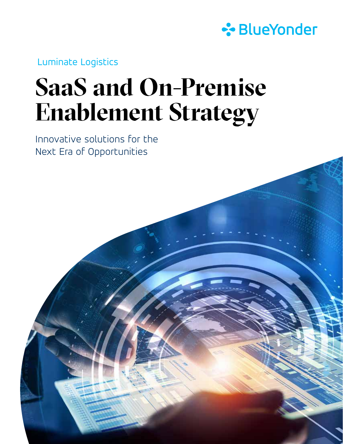

Luminate Logistics

# **SaaS and On-Premise Enablement Strategy**

Innovative solutions for the Next Era of Opportunities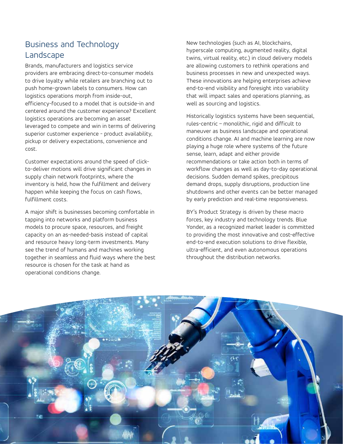## Business and Technology Landscape

Brands, manufacturers and logistics service providers are embracing direct-to-consumer models to drive loyalty while retailers are branching out to push home-grown labels to consumers. How can logistics operations morph from inside-out, efficiency-focused to a model that is outside-in and centered around the customer experience? Excellent logistics operations are becoming an asset leveraged to compete and win in terms of delivering superior customer experience - product availability, pickup or delivery expectations, convenience and cost.

Customer expectations around the speed of clickto-deliver motions will drive significant changes in supply chain network footprints, where the inventory is held, how the fulfillment and delivery happen while keeping the focus on cash flows, fulfillment costs.

A major shift is businesses becoming comfortable in tapping into networks and platform business models to procure space, resources, and freight capacity on an as-needed-basis instead of capital and resource heavy long-term investments. Many see the trend of humans and machines working together in seamless and fluid ways where the best resource is chosen for the task at hand as operational conditions change.

New technologies (such as AI, blockchains, hyperscale computing, augmented reality, digital twins, virtual reality, etc.) in cloud delivery models are allowing customers to rethink operations and business processes in new and unexpected ways. These innovations are helping enterprises achieve end-to-end visibility and foresight into variability that will impact sales and operations planning, as well as sourcing and logistics.

Historically logistics systems have been sequential, rules-centric – monolithic, rigid and difficult to maneuver as business landscape and operational conditions change. AI and machine learning are now playing a huge role where systems of the future sense, learn, adapt and either provide recommendations or take action both in terms of workflow changes as well as day-to-day operational decisions. Sudden demand spikes, precipitous demand drops, supply disruptions, production line shutdowns and other events can be better managed by early prediction and real-time responsiveness.

BY's Product Strategy is driven by these macro forces, key industry and technology trends. Blue Yonder, as a recognized market leader is committed to providing the most innovative and cost-effective end-to-end execution solutions to drive flexible, ultra-efficient, and even autonomous operations throughout the distribution networks.

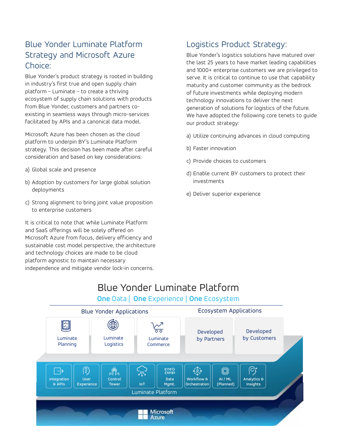## Blue Yonder Luminate Platform Strategy and Microsoft Azure Choice:

Blue Yonder's product strategy is rooted in building in industry's first true and open supply chain platform – Luminate – to create a thriving ecosystem of supply chain solutions with products from Blue Yonder, customers and partners coexisting in seamless ways through micro-services facilitated by APIs and a canonical data model.

Microsoft Azure has been chosen as the cloud platform to underpin BY's Luminate Platform strategy. This decision has been made after careful consideration and based on key considerations:

- a) Global scale and presence
- b) Adoption by customers for large global solution deployments
- c) Strong alignment to bring joint value proposition to enterprise customers

It is critical to note that while Luminate Platform and SaaS offerings will be solely offered on Microsoft Azure from focus, delivery efficiency and sustainable cost model perspective, the architecture and technology choices are made to be cloud platform agnostic to maintain necessary independence and mitigate vendor lock-in concerns.

## Logistics Product Strategy:

Blue Yonder's logistics solutions have matured over the last 25 years to have market leading capabilities and 1000+ enterprise customers we are privileged to serve. It is critical to continue to use that capability maturity and customer community as the bedrock of future investments while deploying modern technology innovations to deliver the next generation of solutions for logistics of the future. We have adopted the following core tenets to guide our product strategy:

- a) Utilize continuing advances in cloud computing
- b) Faster innovation
- c) Provide choices to customers
- d) Enable current BY customers to protect their investments
- e) Deliver superior experience

## Blue Yonder Luminate Platform

### **One** Data | **One** Experience | **One** Ecosystem

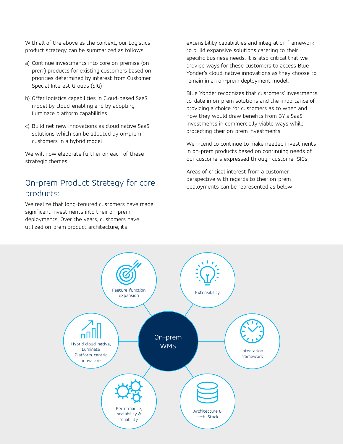With all of the above as the context, our Logistics product strategy can be summarized as follows:

- a) Continue investments into core on-premise (onprem) products for existing customers based on priorities determined by interest from Customer Special Interest Groups (SIG)
- b) Offer logistics capabilities in Cloud-based SaaS model by cloud-enabling and by adopting Luminate platform capabilities
- c) Build net new innovations as cloud native SaaS solutions which can be adopted by on-prem customers in a hybrid model

We will now elaborate further on each of these strategic themes:

## On-prem Product Strategy for core products:

We realize that long-tenured customers have made significant investments into their on-prem deployments. Over the years, customers have utilized on-prem product architecture, its

extensibility capabilities and integration framework to build expansive solutions catering to their specific business needs. It is also critical that we provide ways for these customers to access Blue Yonder's cloud-native innovations as they choose to remain in an on-prem deployment model.

Blue Yonder recognizes that customers' investments to-date in on-prem solutions and the importance of providing a choice for customers as to when and how they would draw benefits from BY's SaaS investments in commercially viable ways while protecting their on-prem investments.

We intend to continue to make needed investments in on-prem products based on continuing needs of our customers expressed through customer SIGs.

Areas of critical interest from a customer perspective with regards to their on-prem deployments can be represented as below:

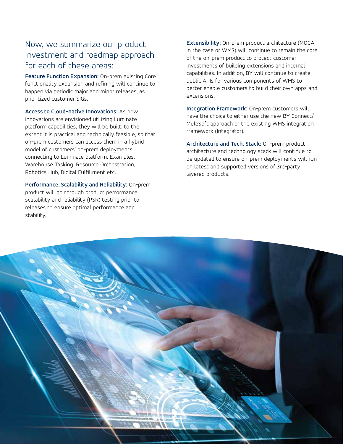## Now, we summarize our product investment and roadmap approach for each of these areas:

**Feature Function Expansion:** On-prem existing Core functionality expansion and refining will continue to happen via periodic major and minor releases, as prioritized customer SIGs.

**Access to Cloud-native Innovations:** As new innovations are envisioned utilizing Luminate platform capabilities, they will be built, to the extent it is practical and technically feasible, so that on-prem customers can access them in a hybrid model of customers' on-prem deployments connecting to Luminate platform. Examples: Warehouse Tasking, Resource Orchestration, Robotics Hub, Digital Fulfillment etc.

**Performance, Scalability and Reliability:** On-prem product will go through product performance, scalability and reliability (PSR) testing prior to releases to ensure optimal performance and stability.

**Extensibility:** On-prem product architecture (MOCA in the case of WMS) will continue to remain the core of the on-prem product to protect customer investments of building extensions and internal capabilities. In addition, BY will continue to create public APIs for various components of WMS to better enable customers to build their own apps and extensions.

**Integration Framework:** On-prem customers will have the choice to either use the new BY Connect/ MuleSoft approach or the existing WMS integration framework (Integrator).

**Architecture and Tech. Stack:** On-prem product architecture and technology stack will continue to be updated to ensure on-prem deployments will run on latest and supported versions of 3rd-party layered products.

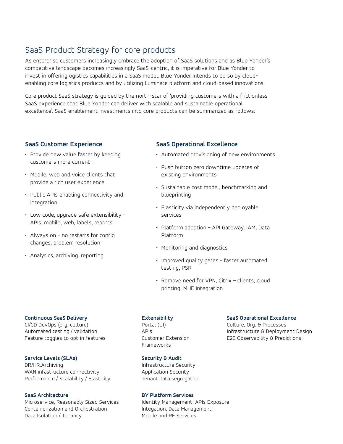## SaaS Product Strategy for core products

As enterprise customers increasingly embrace the adoption of SaaS solutions and as Blue Yonder's competitive landscape becomes increasingly SaaS-centric, it is imperative for Blue Yonder to invest in offering ogistics capabilities in a SaaS model. Blue Yonder intends to do so by cloudenabling core logistics products and by utilizing Luminate platform and cloud-based innovations.

Core product SaaS strategy is guided by the north-star of 'providing customers with a frictionless SaaS experience that Blue Yonder can deliver with scalable and sustainable operational excellence'. SaaS enablement investments into core products can be summarized as follows:

#### **SaaS Customer Experience**

- Provide new value faster by keeping customers more current
- Mobile, web and voice clients that provide a rich user experience
- Public APIs enabling connectivity and integration
- Low code, upgrade safe extensibility APIs, mobile, web, labels, reports
- Always on no restarts for config changes, problem resolution
- Analytics, archiving, reporting

#### **SaaS Operational Excellence**

- Automated provisioning of new environments
- Push button zero downtime updates of existing environments
- Sustainable cost model, benchmarking and blueprinting
- Elasticity via independently deployable services
- Platform adoption API Gateway, IAM, Data Platform
- Monitoring and diagnostics
- Improved quality gates faster automated testing, PSR
- Remove need for VPN, Citrix clients, cloud printing, MHE integration

#### **Continuous SaaS Delivery**

CI/CD DevOps (org, culture) Automated testing / validation Feature toggles to opt-in features

#### **Service Levels (SLAs)**

DR/HR.Archiving WAN infastructure connectivity Performance / Scalability / Elasticity

#### **SaaS Architecture**

Microservice, Reasonably Sized Services Containerization and Orchestration Data Isolation / Tenancy

#### **Extensibility**

Portal (UI) APIs Customer Extension Frameworks

#### **Security & Audit**

Infrastructure Security Application Security Tenant data segregation

#### **BY Platform Services**

Identity Management, APIs Exposure Integation, Data Management Mobile and RF Services

#### **SaaS Operational Excellence**

Culture, Org. & Processes Infrastructure & Deployment Design E2E Observability & Predictions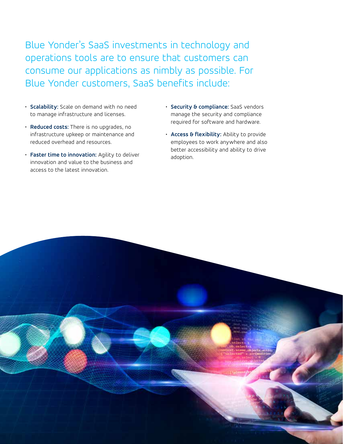Blue Yonder's SaaS investments in technology and operations tools are to ensure that customers can consume our applications as nimbly as possible. For Blue Yonder customers, SaaS benefits include:

- **Scalability:** Scale on demand with no need to manage infrastructure and licenses.
- **Reduced costs:** There is no upgrades, no infrastructure upkeep or maintenance and reduced overhead and resources.
- **Faster time to innovation:** Agility to deliver innovation and value to the business and access to the latest innovation.
- **Security & compliance:** SaaS vendors manage the security and compliance required for software and hardware.
- **Access & flexibility:** Ability to provide employees to work anywhere and also better accessibility and ability to drive adoption.

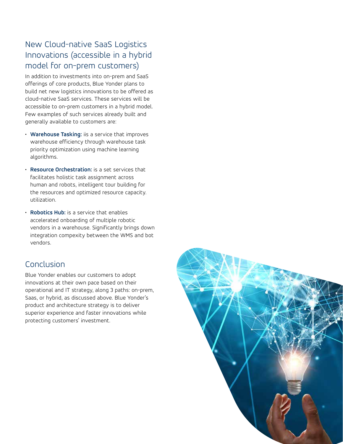## New Cloud-native SaaS Logistics Innovations (accessible in a hybrid model for on-prem customers)

In addition to investments into on-prem and SaaS offerings of core products, Blue Yonder plans to build net new logistics innovations to be offered as cloud-native SaaS services. These services will be accessible to on-prem customers in a hybrid model. Few examples of such services already built and generally available to customers are:

- **Warehouse Tasking:** iis a service that improves warehouse efficiency through warehouse task priority optimization using machine learning algorithms.
- **Resource Orchestration:** is a set services that facilitates holistic task assignment across human and robots, intelligent tour building for the resources and optimized resource capacity. utilization.
- **Robotics Hub:** is a service that enables accelerated onboarding of multiple robotic vendors in a warehouse. Significantly brings down integration compexity between the WMS and bot vendors.

## Conclusion

Blue Yonder enables our customers to adopt innovations at their own pace based on their operational and IT strategy, along 3 paths: on-prem, Saas, or hybrid, as discussed above. Blue Yonder's product and architecture strategy is to deliver superior experience and faster innovations while protecting customers' investment.